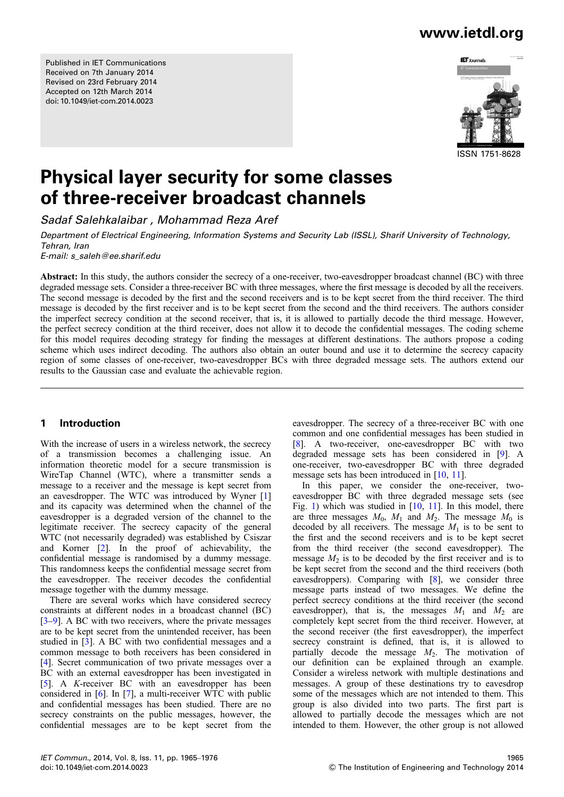Published in IET Communications Received on 7th January 2014 Revised on 23rd February 2014 Accepted on 12th March 2014 doi: 10.1049/iet-com.2014.0023

# www.ietdl.org



# Physical layer security for some classes of three-receiver broadcast channels

Sadaf Salehkalaibar , Mohammad Reza Aref

Department of Electrical Engineering, Information Systems and Security Lab (ISSL), Sharif University of Technology, Tehran, Iran

E-mail: s\_saleh@ee.sharif.edu

Abstract: In this study, the authors consider the secrecy of a one-receiver, two-eavesdropper broadcast channel (BC) with three degraded message sets. Consider a three-receiver BC with three messages, where the first message is decoded by all the receivers. The second message is decoded by the first and the second receivers and is to be kept secret from the third receiver. The third message is decoded by the first receiver and is to be kept secret from the second and the third receivers. The authors consider the imperfect secrecy condition at the second receiver, that is, it is allowed to partially decode the third message. However, the perfect secrecy condition at the third receiver, does not allow it to decode the confidential messages. The coding scheme for this model requires decoding strategy for finding the messages at different destinations. The authors propose a coding scheme which uses indirect decoding. The authors also obtain an outer bound and use it to determine the secrecy capacity region of some classes of one-receiver, two-eavesdropper BCs with three degraded message sets. The authors extend our results to the Gaussian case and evaluate the achievable region.

### 1 Introduction

With the increase of users in a wireless network, the secrecy of a transmission becomes a challenging issue. An information theoretic model for a secure transmission is WireTap Channel (WTC), where a transmitter sends a message to a receiver and the message is kept secret from an eavesdropper. The WTC was introduced by Wyner [1] and its capacity was determined when the channel of the eavesdropper is a degraded version of the channel to the legitimate receiver. The secrecy capacity of the general WTC (not necessarily degraded) was established by Csiszar and Korner [2]. In the proof of achievability, the confidential message is randomised by a dummy message. This randomness keeps the confidential message secret from the eavesdropper. The receiver decodes the confidential message together with the dummy message.

There are several works which have considered secrecy constraints at different nodes in a broadcast channel (BC) [3–9]. A BC with two receivers, where the private messages are to be kept secret from the unintended receiver, has been studied in [3]. A BC with two confidential messages and a common message to both receivers has been considered in [4]. Secret communication of two private messages over a BC with an external eavesdropper has been investigated in [5]. A K-receiver BC with an eavesdropper has been considered in [6]. In [7], a multi-receiver WTC with public and confidential messages has been studied. There are no secrecy constraints on the public messages, however, the confidential messages are to be kept secret from the eavesdropper. The secrecy of a three-receiver BC with one common and one confidential messages has been studied in [8]. A two-receiver, one-eavesdropper BC with two degraded message sets has been considered in [9]. A one-receiver, two-eavesdropper BC with three degraded message sets has been introduced in [10, 11].

In this paper, we consider the one-receiver, twoeavesdropper BC with three degraded message sets (see Fig. 1) which was studied in [10, 11]. In this model, there are three messages  $M_0$ ,  $M_1$  and  $M_2$ . The message  $M_0$  is decoded by all receivers. The message  $M_1$  is to be sent to the first and the second receivers and is to be kept secret from the third receiver (the second eavesdropper). The message  $M_2$  is to be decoded by the first receiver and is to be kept secret from the second and the third receivers (both eavesdroppers). Comparing with [8], we consider three message parts instead of two messages. We define the perfect secrecy conditions at the third receiver (the second eavesdropper), that is, the messages  $M_1$  and  $M_2$  are completely kept secret from the third receiver. However, at the second receiver (the first eavesdropper), the imperfect secrecy constraint is defined, that is, it is allowed to partially decode the message  $M_2$ . The motivation of our definition can be explained through an example. Consider a wireless network with multiple destinations and messages. A group of these destinations try to eavesdrop some of the messages which are not intended to them. This group is also divided into two parts. The first part is allowed to partially decode the messages which are not intended to them. However, the other group is not allowed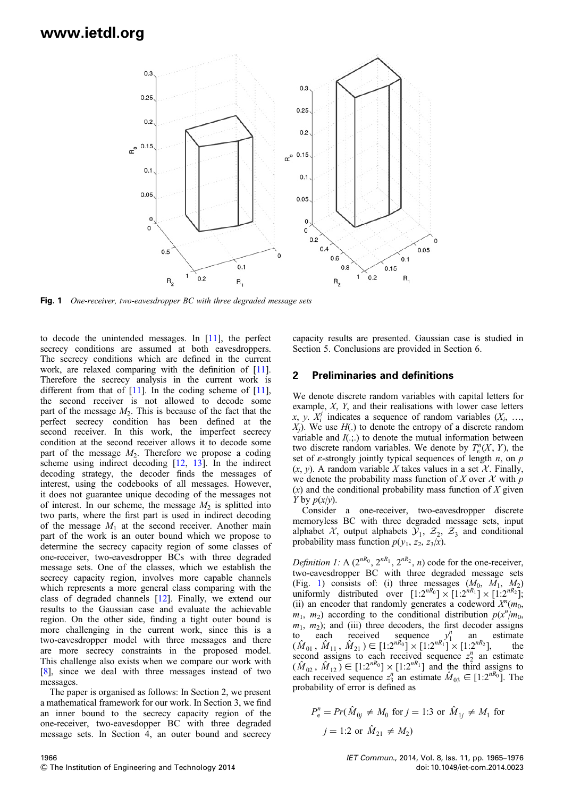

Fig. 1 One-receiver, two-eavesdropper BC with three degraded message sets

to decode the unintended messages. In [11], the perfect secrecy conditions are assumed at both eavesdroppers. The secrecy conditions which are defined in the current work, are relaxed comparing with the definition of [11]. Therefore the secrecy analysis in the current work is different from that of  $[11]$ . In the coding scheme of  $[11]$ , the second receiver is not allowed to decode some part of the message  $M<sub>2</sub>$ . This is because of the fact that the perfect secrecy condition has been defined at the second receiver. In this work, the imperfect secrecy condition at the second receiver allows it to decode some part of the message  $M_2$ . Therefore we propose a coding scheme using indirect decoding [12, 13]. In the indirect decoding strategy, the decoder finds the messages of interest, using the codebooks of all messages. However, it does not guarantee unique decoding of the messages not of interest. In our scheme, the message  $M_2$  is splitted into two parts, where the first part is used in indirect decoding of the message  $M_1$  at the second receiver. Another main part of the work is an outer bound which we propose to determine the secrecy capacity region of some classes of one-receiver, two-eavesdropper BCs with three degraded message sets. One of the classes, which we establish the secrecy capacity region, involves more capable channels which represents a more general class comparing with the class of degraded channels [12]. Finally, we extend our results to the Gaussian case and evaluate the achievable region. On the other side, finding a tight outer bound is more challenging in the current work, since this is a two-eavesdropper model with three messages and there are more secrecy constraints in the proposed model. This challenge also exists when we compare our work with [8], since we deal with three messages instead of two messages.

The paper is organised as follows: In Section 2, we present a mathematical framework for our work. In Section 3, we find an inner bound to the secrecy capacity region of the one-receiver, two-eavesdopper BC with three degraded message sets. In Section 4, an outer bound and secrecy

#### 1966 & The Institution of Engineering and Technology 2014

capacity results are presented. Gaussian case is studied in Section 5. Conclusions are provided in Section 6.

### 2 Preliminaries and definitions

We denote discrete random variables with capital letters for example, X, Y, and their realisations with lower case letters x, y.  $X_i^j$  indicates a sequence of random variables  $(X_i, \ldots,$  $X_i$ ). We use  $H(.)$  to denote the entropy of a discrete random variable and  $I(.;.)$  to denote the mutual information between two discrete random variables. We denote by  $T_{\varepsilon}^{n}(X, Y)$ , the set of  $\varepsilon$ -strongly jointly typical sequences of length *n*, on *p*  $(x, y)$ . A random variable X takes values in a set X. Finally, we denote the probability mass function of X over X with  $p$  $(x)$  and the conditional probability mass function of X given Y by  $p(x/y)$ .

Consider a one-receiver, two-eavesdropper discrete memoryless BC with three degraded message sets, input alphabet X, output alphabets  $\mathcal{Y}_1$ ,  $\mathcal{Z}_2$ ,  $\mathcal{Z}_3$  and conditional probability mass function  $p(y_1, z_2, z_3/x)$ .

*Definition 1:* A ( $2^{nR_0}$ ,  $2^{nR_1}$ ,  $2^{nR_2}$ , *n*) code for the one-receiver, two-eavesdropper BC with three degraded message sets (Fig. 1) consists of: (i) three messages  $(M_0, M_1, M_2)$ uniformly distributed over  $[1:2^{nR_0}] \times [1:2^{nR_1}] \times [1:2^{nR_2}];$ (ii) an encoder that randomly generates a codeword  $X^n(m_0,$  $m_1$ ,  $m_2$ ) according to the conditional distribution  $p(x^n/m_0)$  $m_1$ ,  $m_2$ ); and (iii) three decoders, the first decoder assigns to each received sequence  $v_1^n$  an estimate to each received sequence  $y_1^n$  an estimate  $(\hat{M}_{01}, \hat{M}_{11}, \hat{M}_{21}) \in [1:2^{nR_0}] \times [1:2^{nR_1}] \times [1:2^{nR_2}],$  the second assigns to each received sequence  $z_2^n$  an estimate  $(\hat{M}_{02}, \hat{M}_{12}) \in [1:2^{nR_0}] \times [1:2^{nR_1}]$  and the third assigns to each received sequence  $z_3^n$  an estimate  $\hat{M}_{03} \in [1:2^{nR_0}]$ . The probability of error is defined as

$$
P_{\rm e}^{n} = Pr(\hat{M}_{0j} \neq M_0 \text{ for } j = 1:3 \text{ or } \hat{M}_{1j} \neq M_1 \text{ for}
$$
  

$$
j = 1:2 \text{ or } \hat{M}_{21} \neq M_2
$$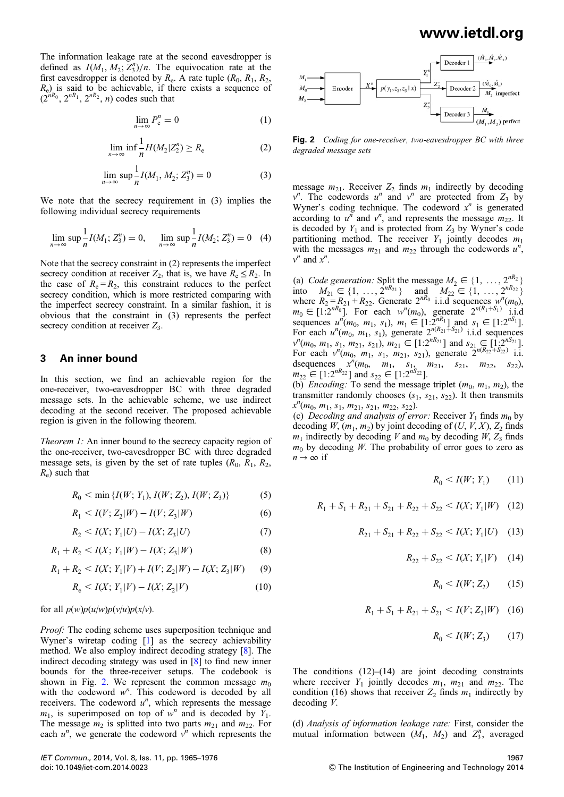The information leakage rate at the second eavesdropper is defined as  $I(M_1, M_2; Z_3^n)/n$ . The equivocation rate at the first eavesdropper is denoted by  $R_e$ . A rate tuple  $(R_0, R_1, R_2,$  $(R_e)$  is said to be achievable, if there exists a sequence of  $(2^{nR_0}, 2^{nR_1}, 2^{nR_2}, n)$  codes such that

$$
\lim_{n \to \infty} P_e^n = 0 \tag{1}
$$

$$
\lim_{n \to \infty} \inf \frac{1}{n} H(M_2 | Z_2^n) \ge R_e \tag{2}
$$

$$
\lim_{n \to \infty} \sup \frac{1}{n} I(M_1, M_2; Z_3^n) = 0
$$
\n(3)

We note that the secrecy requirement in (3) implies the following individual secrecy requirements

$$
\lim_{n \to \infty} \sup \frac{1}{n} I(M_1; Z_3^n) = 0, \quad \lim_{n \to \infty} \sup \frac{1}{n} I(M_2; Z_3^n) = 0 \quad (4)
$$

Note that the secrecy constraint in (2) represents the imperfect secrecy condition at receiver  $Z_2$ , that is, we have  $R_e \leq R_2$ . In the case of  $R_e = R_2$ , this constraint reduces to the perfect secrecy condition, which is more restricted comparing with the imperfect secrecy constraint. In a similar fashion, it is obvious that the constraint in (3) represents the perfect secrecy condition at receiver  $Z_3$ .

### 3 An inner bound

In this section, we find an achievable region for the one-receiver, two-eavesdropper BC with three degraded message sets. In the achievable scheme, we use indirect decoding at the second receiver. The proposed achievable region is given in the following theorem.

Theorem 1: An inner bound to the secrecy capacity region of the one-receiver, two-eavesdropper BC with three degraded message sets, is given by the set of rate tuples  $(R_0, R_1, R_2,$  $R_e$ ) such that

$$
R_0 < \min\left\{ I(W; Y_1), I(W; Z_2), I(W; Z_3) \right\} \tag{5}
$$

$$
R_1 < I(V; Z_2 | W) - I(V; Z_3 | W) \tag{6}
$$

$$
R_2 < I(X; Y_1 | U) - I(X; Z_3 | U) \tag{7}
$$

$$
R_1 + R_2 < I(X; Y_1 | W) - I(X; Z_3 | W) \tag{8}
$$

$$
R_1 + R_2 < I(X; Y_1 | V) + I(V; Z_2 | W) - I(X; Z_3 | W) \tag{9}
$$

$$
R_e < I(X; Y_1 | V) - I(X; Z_2 | V) \tag{10}
$$

#### for all  $p(w)p(u/w)p(v/u)p(x/v)$ .

Proof: The coding scheme uses superposition technique and Wyner's wiretap coding [1] as the secrecy achievability method. We also employ indirect decoding strategy [8]. The indirect decoding strategy was used in [8] to find new inner bounds for the three-receiver setups. The codebook is shown in Fig. 2. We represent the common message  $m_0$ with the codeword  $w^n$ . This codeword is decoded by all receivers. The codeword  $u^n$ , which represents the message  $m_1$ , is superimposed on top of  $w^n$  and is decoded by  $Y_1$ . The message  $m_2$  is splitted into two parts  $m_{21}$  and  $m_{22}$ . For each  $u^n$ , we generate the codeword  $v^n$  which represents the



Fig. 2 Coding for one-receiver, two-eavesdropper BC with three degraded message sets

message  $m_{21}$ . Receiver  $Z_2$  finds  $m_1$  indirectly by decoding  $v^n$ . The codewords u<sup>n</sup> and v<sup>n</sup> are protected from Z<sub>3</sub> by Wyner's coding technique. The codeword  $x^n$  is generated according to  $u^n$  and  $v^n$ , and represents the message  $m_{22}$ . It is decoded by  $Y_1$  and is protected from  $Z_3$  by Wyner's code partitioning method. The receiver  $Y_1$  jointly decodes  $m_1$ with the messages  $m_{21}$  and  $m_{22}$  through the codewords  $u^n$ ,  $v^n$  and  $x^n$ .

(a) Code generation: Split the message  $M_2 \in \{1, \ldots, 2^{nR_2} \}$ into  $M_{21} \in \{1, ..., 2^{nR_{21}}\}$  and  $M_{22} \in \{1, ..., 2^{nR_{22}}\}$ where  $R_2 = R_{21} + R_{22}$ . Generate  $2^{nR_0}$  i.i.d sequences  $w^n(m_0)$ ,  $m_0 \in [1 \cdot 2^{nR_0}]$ . For each  $w^n(m_0)$ , generate  $2^{n(R_1 + S_1)}$  i.i.d sequences  $u^{n}(m_0, m_1, s_1), m_1 \in [1:2^{nR_1}]$  and  $s_1 \in [1:2^{nS_1}]$ . For each  $u^n(m_0, m_1, s_1)$ , generate  $2^{n(R_{21} + S_{21})}$  i.i.d sequences  $v^n(m_0, m_1, s_1, m_{21}, s_{21}), m_{21} \in [1:2^{nR_{21}}]$  and  $s_{21} \in [1:2^{nS_{21}}]$ . For each  $v^n(m_0, m_1, s_1, m_{21}, s_{21})$ , generate  $2^{n(R_{22} + S_{22})}$  i.i. dsequences  $x^{n}(m_0, m_1, s_1, m_2, s_2, m_3, s_2)$  $m_{22} \in [1:2^{nR_{22}}]$  and  $s_{22} \in [1:2^{nS_{22}}]$ .

(b) *Encoding:* To send the message triplet  $(m_0, m_1, m_2)$ , the transmitter randomly chooses  $(s_1, s_{21}, s_{22})$ . It then transmits  $x^n(m_0, m_1, s_1, m_{21}, s_{21}, m_{22}, s_{22})$ .

(c) Decoding and analysis of error: Receiver  $Y_1$  finds  $m_0$  by decoding  $W$ ,  $(m_1, m_2)$  by joint decoding of  $(U, V, X)$ ,  $Z_2$  finds  $m_1$  indirectly by decoding V and  $m_0$  by decoding W,  $Z_3$  finds  $m_0$  by decoding W. The probability of error goes to zero as  $n \to \infty$  if

 $R_0 < I(W; Y_1)$  (11)

$$
R_1 + S_1 + R_{21} + S_{21} + R_{22} + S_{22} < I(X; Y_1 | W) \tag{12}
$$

$$
R_{21} + S_{21} + R_{22} + S_{22} < I(X; Y_1 | U) \quad (13)
$$

$$
R_{22} + S_{22} < I(X; Y_1 | V) \quad (14)
$$

$$
R_0 < I(W; Z_2) \tag{15}
$$

$$
R_1 + S_1 + R_{21} + S_{21} < I(V; Z_2 | W) \quad (16)
$$

$$
R_0 < I(W; Z_3) \tag{17}
$$

The conditions  $(12)$ – $(14)$  are joint decoding constraints where receiver  $Y_1$  jointly decodes  $m_1$ ,  $m_{21}$  and  $m_{22}$ . The condition (16) shows that receiver  $Z_2$  finds  $m_1$  indirectly by decoding V.

(d) Analysis of information leakage rate: First, consider the mutual information between  $(M_1, M_2)$  and  $Z_3^n$ , averaged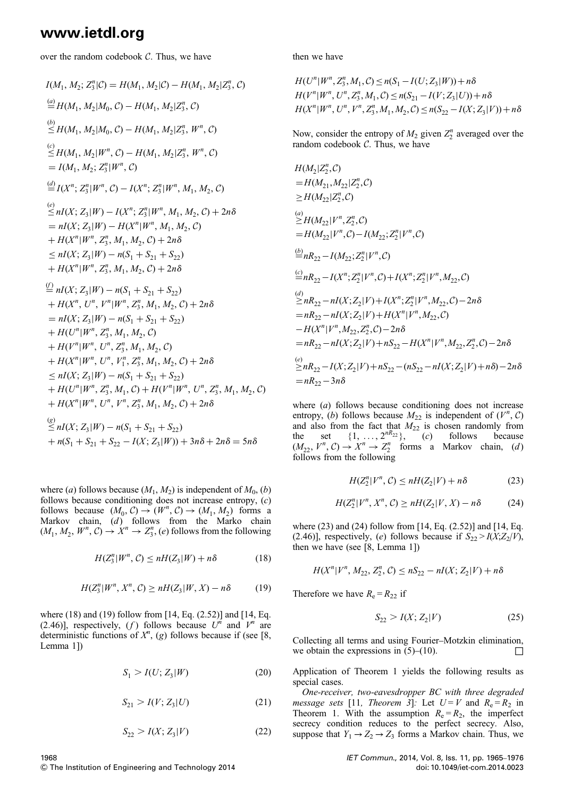over the random codebook C. Thus, we have

$$
I(M_1, M_2; Z_3^n | C) = H(M_1, M_2 | C) - H(M_1, M_2 | Z_3^n, C)
$$
  
\n
$$
\stackrel{(a)}{=} H(M_1, M_2 | M_0, C) - H(M_1, M_2 | Z_3^n, C)
$$
  
\n
$$
\stackrel{(b)}{\leq} H(M_1, M_2 | M_0, C) - H(M_1, M_2 | Z_3^n, W^n, C)
$$
  
\n
$$
\stackrel{(c)}{\leq} H(M_1, M_2 | W^n, C) - H(M_1, M_2 | Z_3^n, W^n, C)
$$
  
\n
$$
= I(M_1, M_2; Z_3^n | W^n, C)
$$
  
\n
$$
\stackrel{(d)}{=} I(X^n; Z_3^n | W^n, C) - I(X^n; Z_3^n | W^n, M_1, M_2, C)
$$
  
\n
$$
\stackrel{(e)}{\leq} nI(X; Z_3 | W) - I(X^n; Z_3^n | W^n, M_1, M_2, C) + 2n\delta
$$
  
\n
$$
= nI(X; Z_3 | W) - H(X^n | W^n, M_1, M_2, C)
$$
  
\n
$$
+ H(X^n | W^n, Z_3^n, M_1, M_2, C) + 2n\delta
$$
  
\n
$$
\leq nI(X; Z_3 | W) - n(S_1 + S_{21} + S_{22}) + H(X^n | W^n, Z_3^n, M_1, M_2, C) + 2n\delta
$$
  
\n
$$
\stackrel{(f)}{=} nI(X; Z_3 | W) - n(S_1 + S_{21} + S_{22}) + H(X^n, U^n, V^n | W^n, Z_3^n, M_1, M_2, C) + 2n\delta
$$
  
\n
$$
= nI(X; Z_3 | W) - n(S_1 + S_{21} + S_{22}) + H(U^n | W^n, Z_3^n, M_1, M_2, C) + H(V^n | W^n, U^n, Z_3^n, M_1, M_2, C)
$$
  
\n
$$
+ H(U^n | W^n, U^n, Z_3^n, M_1, M_2, C) + 2n\delta
$$
  
\n
$$
\leq nI(X; Z_3 | W) - n(S_1 + S_{21} + S_{22}) + H(U^n
$$

where (a) follows because  $(M_1, M_2)$  is independent of  $M_0$ , (b) follows because conditioning does not increase entropy, (c) follows because  $(M_0, C) \to (W^n, C) \to (M_1, M_2)$  forms a Markov chain, (d) follows from the Marko chain  $(M_1, M_2, W^n, C) \rightarrow X^n \rightarrow Z_3^n$ ,  $(e)$  follows from the following

$$
H(Z_3^n|W^n, C) \le nH(Z_3|W) + n\delta \tag{18}
$$

$$
H(Z_3^n|W^n, X^n, C) \ge nH(Z_3|W, X) - n\delta \tag{19}
$$

where (18) and (19) follow from [14, Eq. (2.52)] and [14, Eq. (2.46)], respectively, (f) follows because  $U^n$  and  $V^n$  are deterministic functions of  $X<sup>n</sup>$ , (g) follows because if (see [8, Lemma 1])

$$
S_1 > I(U; Z_3 | W) \tag{20}
$$

$$
S_{21} > I(V; Z_3 | U)
$$
 (21)

$$
S_{22} > I(X; Z_3 | V) \tag{22}
$$

then we have

$$
H(U^n|W^n, Z_3^n, M_1, C) \le n(S_1 - I(U; Z_3|W)) + n\delta
$$
  
\n
$$
H(V^n|W^n, U^n, Z_3^n, M_1, C) \le n(S_{21} - I(V; Z_3|U)) + n\delta
$$
  
\n
$$
H(X^n|W^n, U^n, V^n, Z_3^n, M_1, M_2, C) \le n(S_{22} - I(X; Z_3|V)) + n\delta
$$

Now, consider the entropy of  $M_2$  given  $Z_2^n$  averaged over the random codebook  $C$ . Thus, we have

$$
H(M_2|Z_2^n, C)
$$
  
\n
$$
= H(M_{21}, M_{22}|Z_2^n, C)
$$
  
\n
$$
\geq H(M_{22}|Z_2^n, C)
$$
  
\n
$$
\geq H(M_{22}|V^n, Z_2^n, C)
$$
  
\n
$$
= H(M_{22}|V^n, C) - I(M_{22}; Z_2^n | V^n, C)
$$
  
\n
$$
\stackrel{(b)}{=} nR_{22} - I(M_{22}; Z_2^n | V^n, C)
$$
  
\n
$$
\stackrel{(c)}{=} nR_{22} - I(X^n; Z_2^n | V^n, C) + I(X^n; Z_2^n | V^n, M_{22}, C)
$$
  
\n
$$
\geq nR_{22} - nI(X; Z_2 | V) + I(X^n; Z_2^n | V^n, M_{22}, C) - 2n\delta
$$
  
\n
$$
= nR_{22} - nI(X; Z_2 | V) + H(X^n | V^n, M_{22}, C)
$$
  
\n
$$
- H(X^n | V^n, M_{22}, Z_2^n, C) - 2n\delta
$$
  
\n
$$
= nR_{22} - nI(X; Z_2 | V) + nS_{22} - H(X^n | V^n, M_{22}, Z_2^n, C) - 2n\delta
$$
  
\n
$$
\geq nR_{22} - I(X; Z_2 | V) + nS_{22} - (nS_{22} - nI(X; Z_2 | V) + n\delta) - 2n\delta
$$
  
\n
$$
= nR_{22} - 3n\delta
$$

where (a) follows because conditioning does not increase entropy, (b) follows because  $M_{22}$  is independent of  $(V^n, C)$ and also from the fact that  $M_{22}$  is chosen randomly from the set  $\{1, \ldots, 2^{nR_{22}}\},$  (c) follows because  $(M_{22}, V^n, C) \rightarrow X^n \rightarrow Z_2^n$  forms a Markov chain, (d) follows from the following

$$
H(Z_2^n|V^n, C) \le nH(Z_2|V) + n\delta \tag{23}
$$

$$
H(Z_2^n|V^n, X^n, C) \ge nH(Z_2|V, X) - n\delta \tag{24}
$$

where (23) and (24) follow from [14, Eq. (2.52)] and [14, Eq. (2.46)], respectively, (e) follows because if  $S_{22} > I(X;Z_2/V)$ , then we have (see [8, Lemma 1])

$$
H(X^n | V^n, M_{22}, Z_2^n, C) \le nS_{22} - nI(X; Z_2 | V) + n\delta
$$

Therefore we have  $R_e = R_{22}$  if

$$
S_{22} > I(X; Z_2 | V) \tag{25}
$$

Collecting all terms and using Fourier–Motzkin elimination, we obtain the expressions in  $(5)$ – $(10)$ .

Application of Theorem 1 yields the following results as special cases.

One-receiver, two-eavesdropper BC with three degraded message sets [11, Theorem 3]: Let  $U = V$  and  $R_e = R_2$  in Theorem 1. With the assumption  $R_e = R_2$ , the imperfect secrecy condition reduces to the perfect secrecy. Also, suppose that  $Y_1 \rightarrow Z_2 \rightarrow Z_3$  forms a Markov chain. Thus, we

1968 & The Institution of Engineering and Technology 2014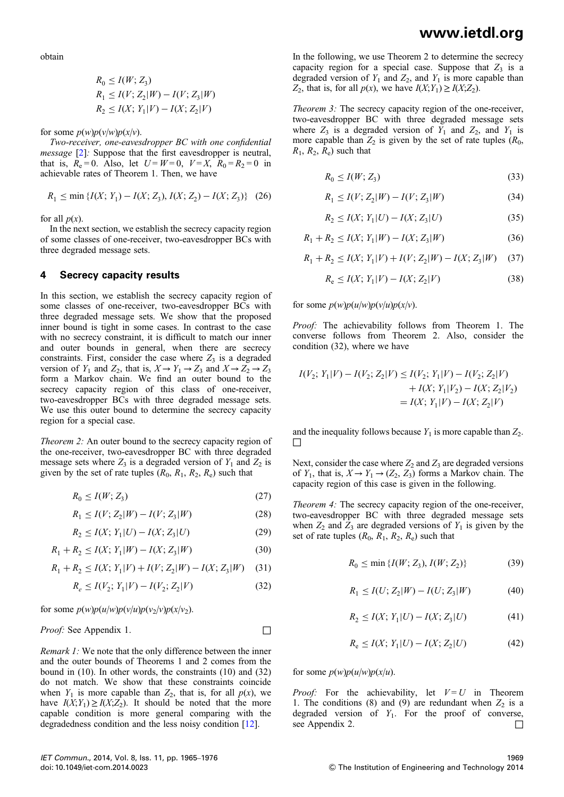obtain

$$
R_0 \le I(W; Z_3)
$$
  
\n
$$
R_1 \le I(V; Z_2 | W) - I(V; Z_3 | W)
$$
  
\n
$$
R_2 \le I(X; Y_1 | V) - I(X; Z_2 | V)
$$

for some  $p(w)p(v/w)p(x/v)$ .

Two-receiver, one-eavesdropper BC with one confidential message [2]: Suppose that the first eavesdropper is neutral, that is,  $R_e = 0$ . Also, let  $U = W = 0$ ,  $V = X$ ,  $R_0 = R_2 = 0$  in achievable rates of Theorem 1. Then, we have

$$
R_1 \le \min \{ I(X; Y_1) - I(X; Z_3), I(X; Z_2) - I(X; Z_3) \} \tag{26}
$$

for all  $p(x)$ .

In the next section, we establish the secrecy capacity region of some classes of one-receiver, two-eavesdropper BCs with three degraded message sets.

### 4 Secrecy capacity results

In this section, we establish the secrecy capacity region of some classes of one-receiver, two-eavesdropper BCs with three degraded message sets. We show that the proposed inner bound is tight in some cases. In contrast to the case with no secrecy constraint, it is difficult to match our inner and outer bounds in general, when there are secrecy constraints. First, consider the case where  $Z_3$  is a degraded version of  $Y_1$  and  $Z_2$ , that is,  $X \to Y_1 \to Z_3$  and  $X \to Z_2 \to Z_3$ form a Markov chain. We find an outer bound to the secrecy capacity region of this class of one-receiver, two-eavesdropper BCs with three degraded message sets. We use this outer bound to determine the secrecy capacity region for a special case.

Theorem 2: An outer bound to the secrecy capacity region of the one-receiver, two-eavesdropper BC with three degraded message sets where  $Z_3$  is a degraded version of  $Y_1$  and  $Z_2$  is given by the set of rate tuples  $(R_0, R_1, R_2, R_e)$  such that

$$
R_0 \le I(W; Z_3) \tag{27}
$$

$$
R_1 \le I(V; Z_2 | W) - I(V; Z_3 | W) \tag{28}
$$

$$
R_2 \le I(X; Y_1 | U) - I(X; Z_3 | U)
$$
\n(29)

$$
R_1 + R_2 \le I(X; Y_1 | W) - I(X; Z_3 | W)
$$
\n(30)

$$
R_1 + R_2 \le I(X; Y_1 | V) + I(V; Z_2 | W) - I(X; Z_3 | W) \tag{31}
$$

$$
R_e \le I(V_2; Y_1 | V) - I(V_2; Z_2 | V)
$$
\n(32)

for some  $p(w)p(u/w)p(v/u)p(v_2/v)p(x/v_2)$ .

### *Proof:* See Appendix 1.  $\Box$

Remark 1: We note that the only difference between the inner and the outer bounds of Theorems 1 and 2 comes from the bound in (10). In other words, the constraints (10) and (32) do not match. We show that these constraints coincide when  $Y_1$  is more capable than  $Z_2$ , that is, for all  $p(x)$ , we have  $I(X; Y_1) \geq I(X; Z_2)$ . It should be noted that the more capable condition is more general comparing with the degradedness condition and the less noisy condition [12].

In the following, we use Theorem 2 to determine the secrecy capacity region for a special case. Suppose that  $Z_3$  is a degraded version of  $Y_1$  and  $Z_2$ , and  $Y_1$  is more capable than  $Z_2$ , that is, for all  $p(x)$ , we have  $I(X;Y_1) \geq I(X;Z_2)$ .

Theorem 3: The secrecy capacity region of the one-receiver, two-eavesdropper BC with three degraded message sets where  $Z_3$  is a degraded version of  $Y_1$  and  $Z_2$ , and  $Y_1$  is more capable than  $Z_2$  is given by the set of rate tuples  $(R_0,$  $R_1, R_2, R_e$  such that

$$
R_0 \le I(W; Z_3) \tag{33}
$$

$$
R_1 \le I(V; Z_2 | W) - I(V; Z_3 | W)
$$
\n(34)

$$
R_2 \le I(X; Y_1 | U) - I(X; Z_3 | U) \tag{35}
$$

$$
R_1 + R_2 \le I(X; Y_1 | W) - I(X; Z_3 | W)
$$
\n(36)

$$
R_1 + R_2 \le I(X; Y_1 | V) + I(V; Z_2 | W) - I(X; Z_3 | W) \tag{37}
$$

$$
R_e \le I(X; Y_1 | V) - I(X; Z_2 | V) \tag{38}
$$

for some  $p(w)p(u/w)p(v/u)p(x/v)$ .

Proof: The achievability follows from Theorem 1. The converse follows from Theorem 2. Also, consider the condition (32), where we have

$$
I(V_2; Y_1|V) - I(V_2; Z_2|V) \le I(V_2; Y_1|V) - I(V_2; Z_2|V) + I(X; Y_1|V_2) - I(X; Z_2|V_2) = I(X; Y_1|V) - I(X; Z_2|V)
$$

and the inequality follows because  $Y_1$  is more capable than  $Z_2$ . □

Next, consider the case where  $Z_2$  and  $Z_3$  are degraded versions of  $Y_1$ , that is,  $X \to Y_1 \to (Z_2, Z_3)$  forms a Markov chain. The capacity region of this case is given in the following.

Theorem 4: The secrecy capacity region of the one-receiver, two-eavesdropper BC with three degraded message sets when  $Z_2$  and  $Z_3$  are degraded versions of  $Y_1$  is given by the set of rate tuples  $(R_0, R_1, R_2, R_e)$  such that

$$
R_0 \le \min \{ I(W; Z_3), I(W; Z_2) \} \tag{39}
$$

$$
R_1 \le I(U; Z_2 | W) - I(U; Z_3 | W) \tag{40}
$$

$$
R_2 \le I(X; Y_1 | U) - I(X; Z_3 | U) \tag{41}
$$

$$
R_e \le I(X; Y_1 | U) - I(X; Z_2 | U)
$$
 (42)

#### for some  $p(w)p(u/w)p(x/u)$ .

*Proof:* For the achievability, let  $V = U$  in Theorem 1. The conditions (8) and (9) are redundant when  $Z_2$  is a degraded version of  $Y_1$ . For the proof of converse, see Appendix 2.  $\Box$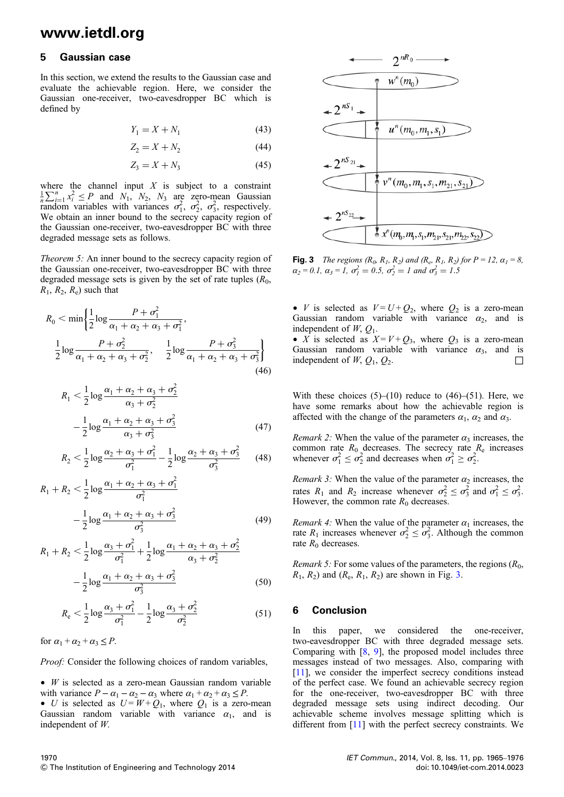### 5 Gaussian case

In this section, we extend the results to the Gaussian case and evaluate the achievable region. Here, we consider the Gaussian one-receiver, two-eavesdropper BC which is defined by

$$
Y_1 = X + N_1 \tag{43}
$$

$$
Z_2 = X + N_2 \tag{44}
$$

$$
Z_3 = X + N_3 \tag{45}
$$

where the channel input  $X$  is subject to a constraint  $\frac{1}{n}\sum_{i=1}^{n} x_i^2 \le P$  and  $N_1$ ,  $N_2$ ,  $N_3$  are zero-mean Gaussian random variables with variances  $\sigma_1^2$ ,  $\sigma_2^2$ ,  $\sigma_3^2$ , respectively. We obtain an inner bound to the secrecy capacity region of the Gaussian one-receiver, two-eavesdropper BC with three degraded message sets as follows.

Theorem 5: An inner bound to the secrecy capacity region of the Gaussian one-receiver, two-eavesdropper BC with three degraded message sets is given by the set of rate tuples  $(R_0,$  $R_1$ ,  $R_2$ ,  $R_e$ ) such that

$$
R_0 < \min\left\{\frac{1}{2}\log\frac{P + \sigma_1^2}{\alpha_1 + \alpha_2 + \alpha_3 + \sigma_1^2}, \frac{1}{2}\log\frac{P + \sigma_2^2}{\alpha_1 + \alpha_2 + \alpha_3 + \sigma_2^2}, \frac{1}{2}\log\frac{P + \sigma_3^2}{\alpha_1 + \alpha_2 + \alpha_3 + \sigma_3^2}\right\}
$$
\n(46)

$$
R_1 < \frac{1}{2} \log \frac{\alpha_1 + \alpha_2 + \alpha_3 + \sigma_2^2}{\alpha_3 + \sigma_2^2}
$$
  
 
$$
- \frac{1}{2} \log \frac{\alpha_1 + \alpha_2 + \alpha_3 + \sigma_3^2}{\alpha_3 + \sigma_3^2}
$$
 (47)

$$
R_2 < \frac{1}{2} \log \frac{\alpha_2 + \alpha_3 + \sigma_1^2}{\sigma_1^2} - \frac{1}{2} \log \frac{\alpha_2 + \alpha_3 + \sigma_3^2}{\sigma_3^2} \tag{48}
$$

$$
R_1 + R_2 < \frac{1}{2} \log \frac{\alpha_1 + \alpha_2 + \alpha_3 + \sigma_1^2}{\sigma_1^2}
$$

$$
-\frac{1}{2}\log\frac{\alpha_1+\alpha_2+\alpha_3+\sigma_3^2}{\sigma_3^2}\tag{49}
$$

$$
R_1 + R_2 < \frac{1}{2} \log \frac{\alpha_3 + \sigma_1^2}{\sigma_1^2} + \frac{1}{2} \log \frac{\alpha_1 + \alpha_2 + \alpha_3 + \sigma_2^2}{\alpha_3 + \sigma_2^2}
$$

$$
-\frac{1}{2}\log\frac{\alpha_1+\alpha_2+\alpha_3+\sigma_3^2}{\sigma_3^2}\tag{50}
$$

$$
R_{\rm e} < \frac{1}{2} \log \frac{\alpha_3 + \sigma_1^2}{\sigma_1^2} - \frac{1}{2} \log \frac{\alpha_3 + \sigma_2^2}{\sigma_2^2} \tag{51}
$$

for  $\alpha_1 + \alpha_2 + \alpha_3 \le P$ .

Proof: Consider the following choices of random variables,

 $\bullet$  *W* is selected as a zero-mean Gaussian random variable with variance  $P - \alpha_1 - \alpha_2 - \alpha_3$  where  $\alpha_1 + \alpha_2 + \alpha_3 \le P$ . • U is selected as  $U = W + Q_1$ , where  $Q_1$  is a zero-mean Gaussian random variable with variance  $\alpha_1$ , and is independent of W.



**Fig. 3** The regions  $(R_0, R_1, R_2)$  and  $(R_e, R_1, R_2)$  for  $P = 12$ ,  $\alpha_1 = 8$ ,  $\alpha_2 = 0.1$ ,  $\alpha_3 = 1$ ,  $\sigma_1^2 = 0.5$ ,  $\sigma_2^2 = 1$  and  $\sigma_3^2 = 1.5$ 

• *V* is selected as  $V = U + Q_2$ , where  $Q_2$  is a zero-mean Gaussian random variable with variance  $\alpha_2$ , and is independent of  $W$ ,  $Q_1$ .

• X is selected as  $X = V + Q_3$ , where  $Q_3$  is a zero-mean Gaussian random variable with variance  $\alpha_3$ , and is independent of  $W$ ,  $Q_1$ ,  $Q_2$ .  $\Box$ 

With these choices  $(5)$ – $(10)$  reduce to  $(46)$ – $(51)$ . Here, we have some remarks about how the achievable region is affected with the change of the parameters  $\alpha_1$ ,  $\alpha_2$  and  $\alpha_3$ .

*Remark 2:* When the value of the parameter  $\alpha_3$  increases, the common rate  $R_0$  decreases. The secrecy rate  $R_e$  increases whenever  $\sigma_1^2 \leq \sigma_2^2$  and decreases when  $\sigma_1^2 \geq \sigma_2^2$ .

*Remark 3:* When the value of the parameter  $\alpha_2$  increases, the rates  $R_1$  and  $R_2$  increase whenever  $\sigma_2^2 \le \sigma_3^2$  and  $\sigma_1^2 \le \sigma_3^2$ . However, the common rate  $R_0$  decreases.

*Remark 4:* When the value of the parameter  $\alpha_1$  increases, the rate  $R_1$  increases whenever  $\sigma_2^2 \leq \sigma_3^2$ . Although the common rate  $R_0$  decreases.

*Remark 5:* For some values of the parameters, the regions  $(R_0,$  $R_1$ ,  $R_2$ ) and  $(R_e, R_1, R_2)$  are shown in Fig. 3.

### 6 Conclusion

In this paper, we considered the one-receiver, two-eavesdropper BC with three degraded message sets. Comparing with [8, 9], the proposed model includes three messages instead of two messages. Also, comparing with [11], we consider the imperfect secrecy conditions instead of the perfect case. We found an achievable secrecy region for the one-receiver, two-eavesdropper BC with three degraded message sets using indirect decoding. Our achievable scheme involves message splitting which is different from [11] with the perfect secrecy constraints. We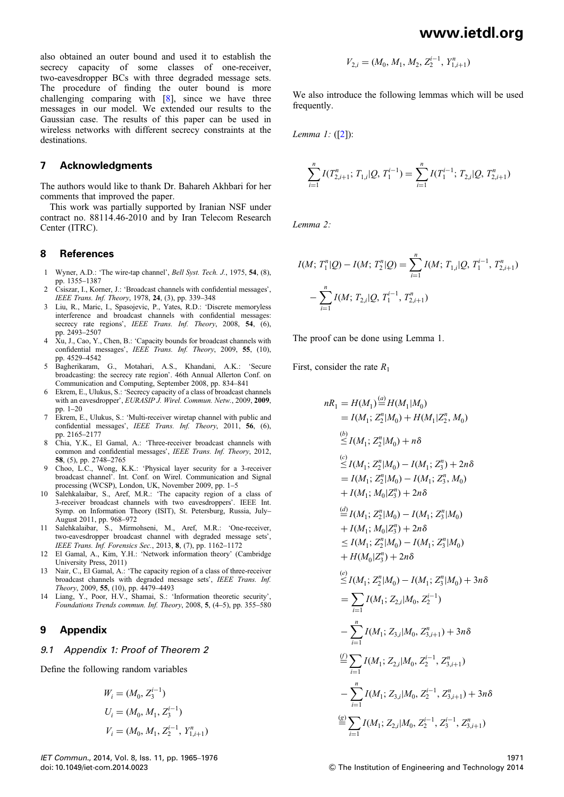also obtained an outer bound and used it to establish the secrecy capacity of some classes of one-receiver, two-eavesdropper BCs with three degraded message sets. The procedure of finding the outer bound is more challenging comparing with [8], since we have three messages in our model. We extended our results to the Gaussian case. The results of this paper can be used in wireless networks with different secrecy constraints at the destinations.

### 7 Acknowledgments

The authors would like to thank Dr. Bahareh Akhbari for her comments that improved the paper.

This work was partially supported by Iranian NSF under contract no. 88114.46-2010 and by Iran Telecom Research Center (ITRC).

### 8 References

- 1 Wyner, A.D.: 'The wire-tap channel', Bell Syst. Tech. J., 1975, 54, (8), pp. 1355–1387
- 2 Csiszar, I., Korner, J.: 'Broadcast channels with confidential messages', IEEE Trans. Inf. Theory, 1978, 24, (3), pp. 339–348
- 3 Liu, R., Maric, I., Spasojevic, P., Yates, R.D.: 'Discrete memoryless interference and broadcast channels with confidential messages: secrecy rate regions', IEEE Trans. Inf. Theory, 2008, 54, (6), pp. 2493–2507
- 4 Xu, J., Cao, Y., Chen, B.: 'Capacity bounds for broadcast channels with confidential messages', IEEE Trans. Inf. Theory, 2009, 55, (10), pp. 4529–4542
- 5 Bagherikaram, G., Motahari, A.S., Khandani, A.K.: 'Secure broadcasting: the secrecy rate region'. 46th Annual Allerton Conf. on Communication and Computing, September 2008, pp. 834–841
- 6 Ekrem, E., Ulukus, S.: 'Secrecy capacity of a class of broadcast channels with an eavesdropper', EURASIP J. Wirel. Commun. Netw., 2009, 2009, pp. 1–20
- 7 Ekrem, E., Ulukus, S.: 'Multi-receiver wiretap channel with public and confidential messages', IEEE Trans. Inf. Theory, 2011, 56, (6), pp. 2165–2177
- 8 Chia, Y.K., El Gamal, A.: 'Three-receiver broadcast channels with common and confidential messages', IEEE Trans. Inf. Theory, 2012, 58, (5), pp. 2748–2765
- 9 Choo, L.C., Wong, K.K.: 'Physical layer security for a 3-receiver broadcast channel'. Int. Conf. on Wirel. Communication and Signal processing (WCSP), London, UK, November 2009, pp. 1–5
- 10 Salehkalaibar, S., Aref, M.R.: 'The capacity region of a class of 3-receiver broadcast channels with two eavesdroppers'. IEEE Int. Symp. on Information Theory (ISIT), St. Petersburg, Russia, July– August 2011, pp. 968–972
- Salehkalaibar, S., Mirmohseni, M., Aref, M.R.: 'One-receiver, two-eavesdropper broadcast channel with degraded message sets', IEEE Trans. Inf. Forensics Sec., 2013, 8, (7), pp. 1162–1172
- 12 El Gamal, A., Kim, Y.H.: 'Network information theory' (Cambridge University Press, 2011)
- 13 Nair, C., El Gamal, A.: 'The capacity region of a class of three-receiver broadcast channels with degraded message sets', IEEE Trans. Inf. Theory, 2009, 55, (10), pp. 4479–4493
- 14 Liang, Y., Poor, H.V., Shamai, S.: 'Information theoretic security', Foundations Trends commun. Inf. Theory, 2008, 5, (4–5), pp. 355–580

### 9 Appendix

#### 9.1 Appendix 1: Proof of Theorem 2

Define the following random variables

$$
W_i = (M_0, Z_3^{i-1})
$$
  
\n
$$
U_i = (M_0, M_1, Z_3^{i-1})
$$
  
\n
$$
V_i = (M_0, M_1, Z_2^{i-1}, Y_{1,i+1}^n)
$$

$$
V_{2,i} = (M_0, M_1, M_2, Z_2^{i-1}, Y_{1,i+1}^n)
$$

We also introduce the following lemmas which will be used frequently.

Lemma 1: ([2]):

$$
\sum_{i=1}^{n} I(T_{2,i+1}^{n}; T_{1,i} | Q, T_1^{i-1}) = \sum_{i=1}^{n} I(T_1^{i-1}; T_{2,i} | Q, T_{2,i+1}^{n})
$$

Lemma 2:

$$
I(M; T_1^n | Q) - I(M; T_2^n | Q) = \sum_{i=1}^n I(M; T_{1,i} | Q, T_1^{i-1}, T_{2,i+1}^n)
$$

$$
- \sum_{i=1}^n I(M; T_{2,i} | Q, T_1^{i-1}, T_{2,i+1}^n)
$$

The proof can be done using Lemma 1.

First, consider the rate  $R_1$ 

$$
nR_1 = H(M_1) \stackrel{(a)}{=} H(M_1|M_0)
$$
  
\n
$$
= I(M_1; Z_2^n|M_0) + H(M_1|Z_2^n, M_0)
$$
  
\n
$$
\stackrel{(b)}{\leq} I(M_1; Z_2^n|M_0) + n\delta
$$
  
\n
$$
\stackrel{(c)}{\leq} I(M_1; Z_2^n|M_0) - I(M_1; Z_3^n) + 2n\delta
$$
  
\n
$$
= I(M_1; Z_2^n|M_0) - I(M_1; Z_3^n, M_0)
$$
  
\n
$$
+ I(M_1; M_0|Z_3^n) + 2n\delta
$$
  
\n
$$
\stackrel{(d)}{=} I(M_1; Z_2^n|M_0) - I(M_1; Z_3^n|M_0)
$$
  
\n
$$
+ I(M_1; M_0|Z_3^n) + 2n\delta
$$
  
\n
$$
\leq I(M_1; Z_2^n|M_0) - I(M_1; Z_3^n|M_0)
$$
  
\n
$$
+ H(M_0|Z_3^n) + 2n\delta
$$
  
\n
$$
\stackrel{(e)}{\leq} I(M_1; Z_2^n|M_0) - I(M_1; Z_3^n|M_0) + 3n\delta
$$
  
\n
$$
= \sum_{i=1}^n I(M_1; Z_{2,i}|M_0, Z_2^{i-1})
$$
  
\n
$$
- \sum_{i=1}^n I(M_1; Z_{3,i}|M_0, Z_{3,i+1}^{n}) + 3n\delta
$$
  
\n
$$
\stackrel{(f)}{=} \sum_{i=1}^n I(M_1; Z_{3,i}|M_0, Z_2^{i-1}, Z_{3,i+1}^n) + 3n\delta
$$
  
\n
$$
\stackrel{(g)}{=} \sum_{i=1}^n I(M_1; Z_{2,i}|M_0, Z_2^{i-1}, Z_{3,i+1}^n) + 3n\delta
$$
  
\n
$$
\stackrel{(g)}{=} \sum_{i=1}^n I(M_1; Z_{2,i}|M_0, Z_2^{i-1}, Z_{3,i+1}^n) + 3n\delta
$$
  
\n
$$
\stackrel{(g)}{=} \sum_{i=1}^n I(M_1; Z_{2,i
$$

1971 & The Institution of Engineering and Technology 2014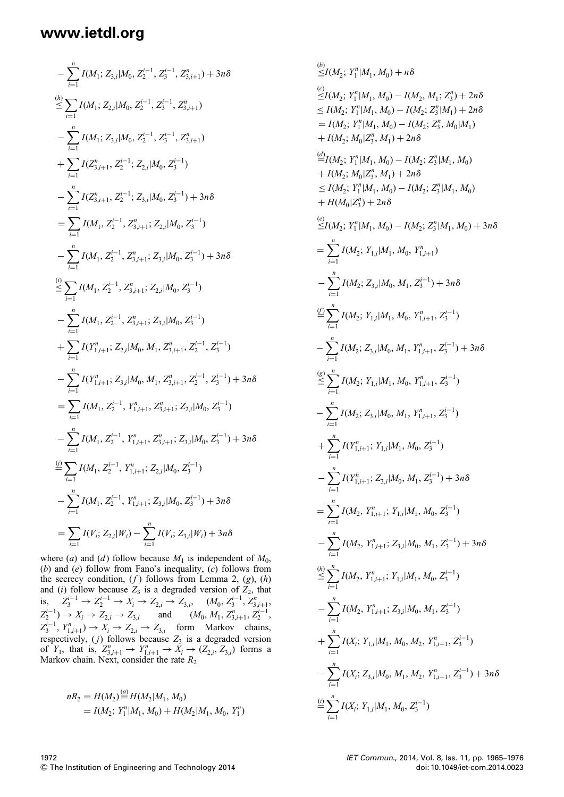$$
-\sum_{i=1}^{n} I(M_{1}; Z_{3,i}|M_{0}, Z_{2}^{i-1}, Z_{3}^{i-1}, Z_{3,i+1}^{n}) + 3n\delta
$$
  
\n
$$
\sum_{i=1}^{n} I(M_{1}; Z_{2,i}|M_{0}, Z_{2}^{i-1}, Z_{3}^{i-1}, Z_{3,i+1}^{n})
$$
  
\n
$$
-\sum_{i=1}^{n} I(M_{1}; Z_{3,i}|M_{0}, Z_{2}^{i-1}, Z_{3}^{i-1}, Z_{3,i+1}^{n})
$$
  
\n
$$
+\sum_{i=1}^{n} I(Z_{3,i+1}^{n}, Z_{2}^{i-1}; Z_{2,i}|M_{0}, Z_{3}^{i-1})
$$
  
\n
$$
-\sum_{i=1}^{n} I(Z_{3,i+1}^{n}, Z_{2}^{i-1}; Z_{3,i}|M_{0}, Z_{3}^{i-1}) + 3n\delta
$$
  
\n
$$
=\sum_{i=1}^{n} I(M_{1}, Z_{2}^{i-1}, Z_{3,i+1}^{n}; Z_{2,i}|M_{0}, Z_{3}^{i-1})
$$
  
\n
$$
-\sum_{i=1}^{n} I(M_{1}, Z_{2}^{i-1}, Z_{3,i+1}^{n}; Z_{3,i}|M_{0}, Z_{3}^{i-1}) + 3n\delta
$$
  
\n
$$
\sum_{i=1}^{n} I(M_{1}, Z_{2}^{i-1}, Z_{3,i+1}^{n}; Z_{2,i}|M_{0}, Z_{3}^{i-1})
$$
  
\n
$$
-\sum_{i=1}^{n} I(M_{1}, Z_{2}^{i-1}, Z_{3,i+1}^{n}; Z_{2,i}|M_{0}, Z_{3}^{i-1})
$$
  
\n
$$
+\sum_{i=1}^{n} I(Y_{1,i+1}^{n}; Z_{2,i}|M_{0}, M_{1}, Z_{3,i+1}^{n}, Z_{2}^{i-1}, Z_{3}^{i-1}) + 3n\delta
$$
  
\n
$$
=\sum_{i=1}^{n} I(M_{1}, Z_{2}^{i-1}, Y_{1,i+1}^{n}; Z_{3,i}|M_{0}, Z_{3}^{i-1})
$$
  
\n
$$
-\sum_{i=1}^{n} I(M_{1}, Z_{2}^{i-1}, Y_{1,i+1}
$$

where (a) and (d) follow because  $M_1$  is independent of  $M_0$ , (b) and (e) follow from Fano's inequality,  $(c)$  follows from the secrecy condition,  $(f)$  follows from Lemma 2,  $(g)$ ,  $(h)$ and (i) follow because  $Z_3$  is a degraded version of  $Z_2$ , that is,  $Z_3^{i-1}$  →  $Z_2^{i-1}$  →  $X_i$  →  $Z_{2,i}$  →  $Z_{3,i}$ ,  $(M_0, Z_3^{i-1}, Z_{3,i+1}^n)$ ,  $Z_2^{i-1}$   $\to X_i \to Z_{2,i} \to Z_{3,i}$  and  $(M_0, M_1, Z_{3,i+1}^n, Z_2^{i-1},$  $Z_3^{i-1}$ ,  $Y_{1,i+1}^n$ )  $\rightarrow$   $X_i$   $\rightarrow$   $Z_{2,i}$   $\rightarrow$   $Z_{3,i}$  form Markov chains, respectively,  $(j)$  follows because  $Z_3$  is a degraded version of  $Y_1$ , that is,  $Z_{3,i+1}^n \rightarrow Y_{1,i+1}^n \rightarrow X_i \rightarrow (Z_{2,i}, Z_{3,i})$  forms a Markov chain. Next, consider the rate  $R_2$ 

$$
nR_2 = H(M_2) \stackrel{(a)}{=} H(M_2|M_1, M_0)
$$
  
=  $I(M_2; Y_1^n|M_1, M_0) + H(M_2|M_1, M_0, Y_1^n)$ 

$$
\sum_{i=1}^{6} I(M_2; Y_1^n | M_1, M_0) + n\delta
$$
\n
$$
\sum_{i=1}^{6} I(M_2; Y_1^n | M_1, M_0) - I(M_2, M_1; Z_3^n) + 2n\delta
$$
\n
$$
\sum_{i=1}^{6} I(M_2; Y_1^n | M_1, M_0) - I(M_2; Z_3^n | M_1) + 2n\delta
$$
\n
$$
= I(M_2; Y_1^n | M_1, M_0) - I(M_2; Z_3^n, M_0 | M_1)
$$
\n
$$
+ I(M_2; M_0 | Z_3^n, M_1) + 2n\delta
$$
\n
$$
\frac{d}{dt} I(M_2; Y_1^n | M_1, M_0) - I(M_2; Z_3^n | M_1, M_0)
$$
\n
$$
+ I(M_2; M_0 | Z_3^n, M_1) + 2n\delta
$$
\n
$$
\leq I(M_2; Y_1^n | M_1, M_0) - I(M_2; Z_3^n | M_1, M_0)
$$
\n
$$
+ H(M_0 | Z_3^n) + 2n\delta
$$
\n
$$
\frac{e}{dt} I(M_2; Y_1^n | M_1, M_0) - I(M_2; Z_3^n | M_1, M_0) + 3n\delta
$$
\n
$$
= \sum_{i=1}^{n} I(M_2; Z_{3,i} | M_0, M_1, Z_3^{i-1}) + 3n\delta
$$
\n
$$
= \sum_{i=1}^{n} I(M_2; Z_{3,i} | M_0, M_1, Z_3^{i-1}) + 3n\delta
$$
\n
$$
\frac{d}{dt} \sum_{i=1}^{n} I(M_2; Z_{3,i} | M_0, M_1, Y_{1,i+1}^n, Z_3^{i-1})
$$
\n
$$
- \sum_{i=1}^{n} I(M_2; Z_{3,i} | M_0, M_1, Y_{1,i+1}^n, Z_3^{i-1})
$$
\n
$$
+ \sum_{i=1}^{n} I(N_{1,i+1}; Y_{1,i} | M_1, M_0, Z_3^{i-1})
$$
\n
$$
+ \sum_{i=1}^{n} I(Y_{1,i+1}
$$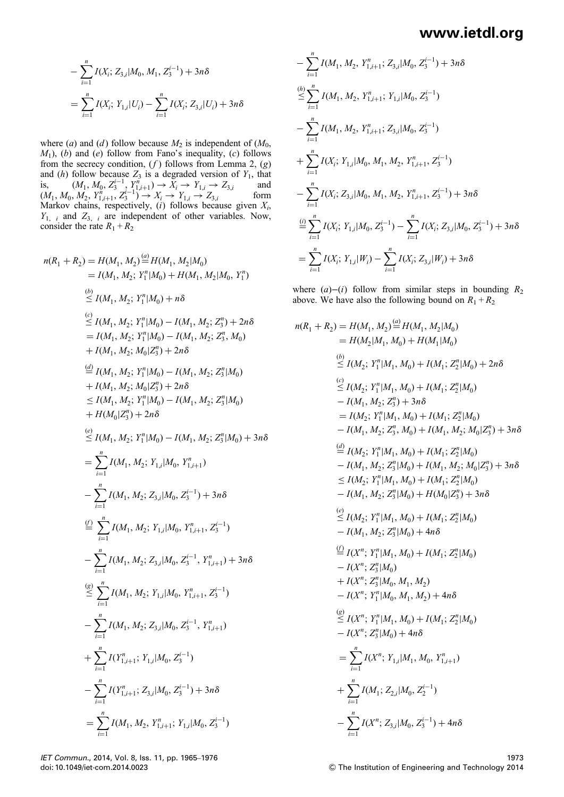$$
- \sum_{i=1}^{n} I(X_i; Z_{3,i}|M_0, M_1, Z_3^{i-1}) + 3n\delta
$$
  
= 
$$
\sum_{i=1}^{n} I(X_i; Y_{1,i}|U_i) - \sum_{i=1}^{n} I(X_i; Z_{3,i}|U_i) + 3n\delta
$$

where (a) and (d) follow because  $M_2$  is independent of ( $M_0$ ,  $M_1$ ), (b) and (e) follow from Fano's inequality, (c) follows from the secrecy condition,  $(f)$  follows from Lemma 2,  $(g)$ and (h) follow because  $Z_3$  is a degraded version of  $Y_1$ , that is,  $(M_1, M_0, Z_3^{i-1}, Y_1^n, \t)$  →  $\overline{X}_i$  →  $Y_{1,i}$  →  $Z_{3,i}$  and  $(M_1, M_0, M_2, Y_{1,i+1}^n, Z_3^{i-1}) \rightarrow X_i \rightarrow Y_{1,i} \rightarrow Z_{3,i}$  form Markov chains, respectively,  $(i)$  follows because given  $X_i$ ,  $Y_{1, i}$  and  $Z_{3, i}$  are independent of other variables. Now, consider the rate  $R_1 + R_2$ 

$$
n(R_1 + R_2) = H(M_1, M_2) \stackrel{(a)}{=} H(M_1, M_2|M_0)
$$
  
\n
$$
= I(M_1, M_2; Y_1^n|M_0) + H(M_1, M_2|M_0, Y_1^n)
$$
  
\n
$$
\stackrel{(b)}{\leq} I(M_1, M_2; Y_1^n|M_0) + n\delta
$$
  
\n
$$
\stackrel{(c)}{\leq} I(M_1, M_2; Y_1^n|M_0) - I(M_1, M_2; Z_3^n) + 2n\delta
$$
  
\n
$$
= I(M_1, M_2; Y_1^n|M_0) - I(M_1, M_2; Z_3^n, M_0)
$$
  
\n
$$
+ I(M_1, M_2; M_0|Z_3^n) + 2n\delta
$$
  
\n
$$
\stackrel{(d)}{=} I(M_1, M_2; Y_1^n|M_0) - I(M_1, M_2; Z_3^n|M_0)
$$
  
\n
$$
+ I(M_1, M_2; M_0|Z_3^n) + 2n\delta
$$
  
\n
$$
\leq I(M_1, M_2; Y_1^n|M_0) - I(M_1, M_2; Z_3^n|M_0)
$$
  
\n
$$
+ H(M_0|Z_3^n) + 2n\delta
$$
  
\n
$$
\leq I(M_1, M_2; Y_1|M_0, Y_{1,i+1}^n)
$$
  
\n
$$
= \sum_{i=1}^n I(M_1, M_2; Y_{1,i}|M_0, Y_{1,i+1}^n)
$$
  
\n
$$
= \sum_{i=1}^n I(M_1, M_2; Z_{3,i}|M_0, Z_3^{i-1}) + 3n\delta
$$
  
\n
$$
\stackrel{(d)}{=} \sum_{i=1}^n I(M_1, M_2; Z_{3,i}|M_0, Z_3^{i-1}, Y_{1,i+1}^n) + 3n\delta
$$
  
\n
$$
\stackrel{(e)}{=} \sum_{i=1}^n I(M_1, M_2; Y_{1,i}|M_0, Y_{1,i+1}^n, Z_3^{i-1})
$$
  
\n
$$
= \sum_{i=1}^n I(M_1, M_2; Z_{3,i}|M_0, Z_3^{i
$$

$$
- \sum_{i=1}^{n} I(M_1, M_2, Y_{1,i+1}^n; Z_{3,i}|M_0, Z_3^{i-1}) + 3n\delta
$$
  
\n
$$
\leq \sum_{i=1}^{n} I(M_1, M_2, Y_{1,i+1}^n; Y_{1,i}|M_0, Z_3^{i-1})
$$
  
\n
$$
- \sum_{i=1}^{n} I(M_1, M_2, Y_{1,i+1}^n; Z_{3,i}|M_0, Z_3^{i-1})
$$
  
\n
$$
+ \sum_{i=1}^{n} I(X_i; Y_{1,i}|M_0, M_1, M_2, Y_{1,i+1}^n, Z_3^{i-1})
$$
  
\n
$$
- \sum_{i=1}^{n} I(X_i; Z_{3,i}|M_0, M_1, M_2, Y_{1,i+1}^n, Z_3^{i-1}) + 3n\delta
$$
  
\n
$$
\stackrel{\text{(i)}}{=} \sum_{i=1}^{n} I(X_i; Y_{1,i}|M_0, Z_3^{i-1}) - \sum_{i=1}^{n} I(X_i; Z_{3,i}|M_0, Z_3^{i-1}) + 3n\delta
$$
  
\n
$$
= \sum_{i=1}^{n} I(X_i; Y_{1,i}|W_i) - \sum_{i=1}^{n} I(X_i; Z_{3,i}|W_i) + 3n\delta
$$

where  $(a)$ −(i) follow from similar steps in bounding  $R_2$ above. We have also the following bound on  $R_1 + R_2$ 

 $(a)$ 

$$
n(R_1 + R_2) = H(M_1, M_2) = H(M_1, M_2|M_0)
$$
  
\n
$$
= H(M_2|M_1, M_0) + H(M_1|M_0)
$$
  
\n
$$
\stackrel{(b)}{\leq} I(M_2; Y_1^n|M_1, M_0) + I(M_1; Z_2^n|M_0) + 2n\delta
$$
  
\n
$$
\stackrel{(c)}{\leq} I(M_2; Y_1^n|M_1, M_0) + I(M_1; Z_2^n|M_0)
$$
  
\n
$$
- I(M_1, M_2; Z_3^n) + 3n\delta
$$
  
\n
$$
= I(M_2; Y_1^n|M_1, M_0) + I(M_1; Z_2^n|M_0)
$$
  
\n
$$
- I(M_1, M_2; Z_3^n, M_0) + I(M_1, M_2; M_0|Z_3^n) + 3n\delta
$$
  
\n
$$
\stackrel{(d)}{=} I(M_2; Y_1^n|M_1, M_0) + I(M_1; Z_2^n|M_0)
$$
  
\n
$$
- I(M_1, M_2; Z_3^n|M_0) + I(M_1; Z_2^n|M_0)
$$
  
\n
$$
- I(M_1, M_2; Z_3^n|M_0) + I(M_1; Z_2^n|M_0)
$$
  
\n
$$
- I(M_1, M_2; Z_3^n|M_0) + I(M_1; Z_2^n|M_0)
$$
  
\n
$$
- I(M_1, M_2; Z_3^n|M_0) + I(M_1; Z_2^n|M_0)
$$
  
\n
$$
- I(M_1, M_2; Z_3^n|M_0) + I(M_1; Z_2^n|M_0)
$$
  
\n
$$
- I(M_1, M_2; Z_3^n|M_0) + I(M_1; Z_2^n|M_0)
$$
  
\n
$$
- I(X^n; Z_1^n|M_0, M_1, M_2)
$$
  
\n
$$
- I(X^n; Z_1^n|M_0, M_1, M_2) + 4n\delta
$$
  
\n
$$
\stackrel{(g)}{\leq} I(X^n; Y_1|M_1, M_0) + I(M_1; Z_2^n|M_0)
$$
  
\n
$$
- I(X^n; Z_3^n|M_0) +
$$

IET Commun., 2014, Vol. 8, Iss. 11, pp. 1965–1976 doi: 10.1049/iet-com.2014.0023

1973  $©$  The Institution of Engineering and Technology 2014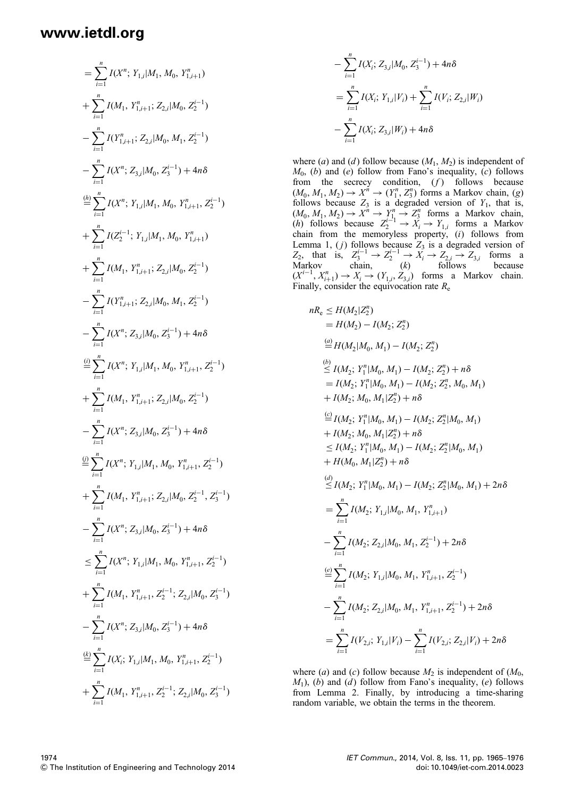$$
= \sum_{i=1}^{n} I(X^{n}; Y_{1,i}|M_{1}, M_{0}, Y_{1,i+1}^{n})
$$
  
+ 
$$
\sum_{i=1}^{n} I(M_{1}, Y_{1,i+1}^{n}; Z_{2,i}|M_{0}, Z_{2}^{i-1})
$$
  
- 
$$
\sum_{i=1}^{n} I(Y_{1,i+1}^{n}; Z_{2,i}|M_{0}, M_{1}, Z_{2}^{i-1})
$$
  
- 
$$
\sum_{i=1}^{n} I(X^{n}; Z_{3,i}|M_{0}, Z_{3}^{i-1}) + 4n\delta
$$
  

$$
\stackrel{(h)}{=} \sum_{i=1}^{n} I(X^{n}; Y_{1,i}|M_{1}, M_{0}, Y_{1,i+1}^{n}, Z_{2}^{i-1})
$$
  
+ 
$$
\sum_{i=1}^{n} I(Z_{2}^{i-1}; Y_{1,i}|M_{1}, M_{0}, Y_{1,i+1}^{n})
$$
  
+ 
$$
\sum_{i=1}^{n} I(M_{1}, Y_{1,i+1}^{n}; Z_{2,i}|M_{0}, Z_{2}^{i-1})
$$
  
- 
$$
\sum_{i=1}^{n} I(Y_{1,i+1}^{n}; Z_{2,i}|M_{0}, M_{1}, Z_{2}^{i-1})
$$
  
- 
$$
\sum_{i=1}^{n} I(X^{n}; Z_{3,i}|M_{0}, Z_{3}^{i-1}) + 4n\delta
$$
  

$$
\stackrel{(i)}{=} \sum_{i=1}^{n} I(X^{n}; Y_{1,i}|M_{1}, M_{0}, Y_{1,i+1}^{n}, Z_{2}^{i-1})
$$
  
+ 
$$
\sum_{i=1}^{n} I(M_{1}, Y_{1,i+1}^{n}; Z_{2,i}|M_{0}, Z_{2}^{i-1})
$$
  
+ 
$$
\sum_{i=1}^{n} I(X^{n}; Z_{3,i}|M_{0}, Z_{3}^{i-1}) + 4n\delta
$$
  

$$
\leq \sum_{i=1}^{n} I(X^{n}; Y_{1,i}|M_{1}, M_{0}, Y_{1,i+1}^{n}; Z_{2}^{i-1})
$$
  
+ 
$$
\sum_{i=1}^{n} I(X^{n}; Z_{3,i}|M_{0}, Z_{3}^{i-1}) + 4n\delta
$$
  

$$
\leq \sum_{i=1}
$$

$$
- \sum_{i=1}^{n} I(X_i; Z_{3,i}|M_0, Z_3^{i-1}) + 4n\delta
$$
  
= 
$$
\sum_{i=1}^{n} I(X_i; Y_{1,i}|V_i) + \sum_{i=1}^{n} I(V_i; Z_{2,i}|W_i)
$$
  
- 
$$
\sum_{i=1}^{n} I(X_i; Z_{3,i}|W_i) + 4n\delta
$$

where (a) and (d) follow because  $(M_1, M_2)$  is independent of  $M_0$ , (b) and (e) follow from Fano's inequality, (c) follows from the secrecy condition,  $(f)$  follows because  $(M_0, M_1, M_2) \rightarrow X^n \rightarrow (Y_1^n, Z_3^n)$  forms a Markov chain, (g) follows because  $Z_3$  is a degraded version of  $Y_1$ , that is,  $(M_0, M_1, M_2) \rightarrow X^n \rightarrow Y_1^n \rightarrow Z_3^n$  forms a Markov chain,  $(h)$  follows because  $Z_2^{i-1}$  →  $X_i$  →  $Y_{1,i}$  forms a Markov chain from the memoryless property, (i) follows from Lemma 1,  $(j)$  follows because  $Z_3$  is a degraded version of  $Z_2$ , that is,  $Z_3^{i-1} \rightarrow Z_2^{i-1} \rightarrow X_i \rightarrow Z_{2,i} \rightarrow Z_{3,i}$  forms a Markov chain,  $(k)$  follows because  $(X^{i-1}, X_{i+1}^n) \to X_i \to (Y_{1,i}, Z_{3,i})$  forms a Markov chain. Finally, consider the equivocation rate  $R_e$ 

$$
nR_e \leq H(M_2|Z_2^n)
$$
  
\n
$$
= H(M_2) - I(M_2; Z_2^n)
$$
  
\n
$$
\stackrel{(a)}{=} H(M_2|M_0, M_1) - I(M_2; Z_2^n)
$$
  
\n
$$
\stackrel{(b)}{\leq} I(M_2; Y_1^n|M_0, M_1) - I(M_2; Z_2^n) + n\delta
$$
  
\n
$$
= I(M_2; Y_1^n|M_0, M_1) - I(M_2; Z_2^n, M_0, M_1)
$$
  
\n
$$
+ I(M_2; M_0, M_1|Z_2^n) + n\delta
$$
  
\n
$$
\stackrel{(c)}{=} I(M_2; Y_1^n|M_0, M_1) - I(M_2; Z_2^n|M_0, M_1)
$$
  
\n
$$
+ I(M_2; M_0, M_1|Z_2^n) + n\delta
$$
  
\n
$$
\leq I(M_2; Y_1^n|M_0, M_1) - I(M_2; Z_2^n|M_0, M_1)
$$
  
\n
$$
+ H(M_0, M_1|Z_2^n) + n\delta
$$
  
\n
$$
\stackrel{(d)}{\leq} I(M_2; Y_1^n|M_0, M_1) - I(M_2; Z_2^n|M_0, M_1) + 2n\delta
$$
  
\n
$$
= \sum_{i=1}^n I(M_2; Y_{1,i}|M_0, M_1, Z_2^{i-1}) + 2n\delta
$$
  
\n
$$
\stackrel{(e)}{=} \sum_{i=1}^n I(M_2; Z_{2,i}|M_0, M_1, Y_{1,i+1}^n, Z_2^{i-1})
$$
  
\n
$$
- \sum_{i=1}^n I(M_2; Z_{2,i}|M_0, M_1, Y_{1,i+1}^n, Z_2^{i-1}) + 2n\delta
$$
  
\n
$$
= \sum_{i=1}^n I(Y_{2,i}; Y_{1,i}|N_i) - \sum_{i=1}^n I(Y_{2,i}; Z_{2,i}|V_i) + 2n\delta
$$

where (a) and (c) follow because  $M_2$  is independent of  $(M_0,$  $M_1$ ), (b) and (d) follow from Fano's inequality, (e) follows from Lemma 2. Finally, by introducing a time-sharing random variable, we obtain the terms in the theorem.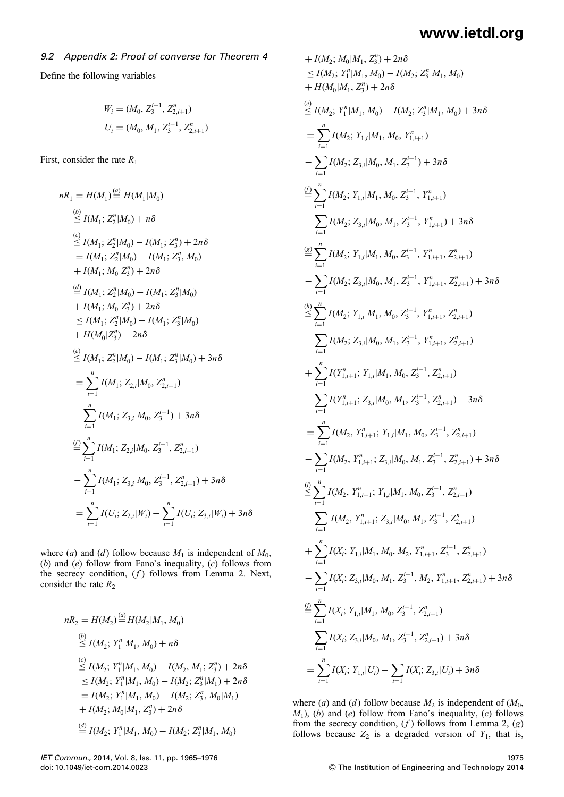### 9.2 Appendix 2: Proof of converse for Theorem 4

Define the following variables

$$
W_i = (M_0, Z_3^{i-1}, Z_{2,i+1}^n)
$$
  

$$
U_i = (M_0, M_1, Z_3^{i-1}, Z_{2,i+1}^n)
$$

First, consider the rate  $R_1$ 

$$
nR_1 = H(M_1) \stackrel{(a)}{=} H(M_1|M_0)
$$
\n
$$
\stackrel{(b)}{\leq} I(M_1; Z_2^n|M_0) + n\delta
$$
\n
$$
\stackrel{(c)}{\leq} I(M_1; Z_2^n|M_0) - I(M_1; Z_3^n) + 2n\delta
$$
\n
$$
= I(M_1; Z_2^n|M_0) - I(M_1; Z_3^n, M_0)
$$
\n
$$
+ I(M_1; M_0|Z_3^n) + 2n\delta
$$
\n
$$
\stackrel{(d)}{=} I(M_1; Z_2^n|M_0) - I(M_1; Z_3^n|M_0)
$$
\n
$$
+ I(M_1; M_0|Z_3^n) + 2n\delta
$$
\n
$$
\leq I(M_1; Z_2^n|M_0) - I(M_1; Z_3^n|M_0)
$$
\n
$$
+ H(M_0|Z_3^n) + 2n\delta
$$
\n
$$
\stackrel{(e)}{\leq} I(M_1; Z_2^n|M_0) - I(M_1; Z_3^n|M_0) + 3n\delta
$$
\n
$$
= \sum_{i=1}^n I(M_1; Z_{2,i}|M_0, Z_{2,i+1}^n)
$$
\n
$$
- \sum_{i=1}^n I(M_1; Z_{3,i}|M_0, Z_3^{i-1}) + 3n\delta
$$
\n
$$
\stackrel{(f)}{=} \sum_{i=1}^n I(M_1; Z_{2,i}|M_0, Z_3^{i-1}, Z_{2,i+1}^n) + 3n\delta
$$
\n
$$
= \sum_{i=1}^n I(U_i; Z_{2,i}|W_i) - \sum_{i=1}^n I(U_i; Z_{3,i}|W_i) + 3n\delta
$$
\n
$$
= \sum_{i=1}^n I(U_i; Z_{2,i}|W_i) - \sum_{i=1}^n I(U_i; Z_{3,i}|W_i) + 3n\delta
$$

where (a) and (d) follow because  $M_1$  is independent of  $M_0$ , (b) and (e) follow from Fano's inequality,  $(c)$  follows from the secrecy condition,  $(f)$  follows from Lemma 2. Next, consider the rate  $R_2$ 

$$
nR_2 = H(M_2) \stackrel{(a)}{=} H(M_2|M_1, M_0)
$$
  
\n
$$
\stackrel{(b)}{\leq} I(M_2; Y_1^n|M_1, M_0) + n\delta
$$
  
\n
$$
\stackrel{(c)}{\leq} I(M_2; Y_1^n|M_1, M_0) - I(M_2, M_1; Z_3^n) + 2n\delta
$$
  
\n
$$
\leq I(M_2; Y_1^n|M_1, M_0) - I(M_2; Z_3^n|M_1) + 2n\delta
$$
  
\n
$$
= I(M_2; Y_1^n|M_1, M_0) - I(M_2; Z_3^n, M_0|M_1)
$$
  
\n
$$
+ I(M_2; M_0|M_1, Z_3^n) + 2n\delta
$$
  
\n
$$
\stackrel{(d)}{=} I(M_2; Y_1^n|M_1, M_0) - I(M_2; Z_3^n|M_1, M_0)
$$

+ 
$$
I(M_2; M_0|M_1, Z_3^n)
$$
 +  $2n\delta$   
\n $\leq I(M_2; Y_1^n|M_1, M_0) - I(M_2; Z_3^n|M_1, M_0)$   
\n+  $H(M_0|M_1, Z_3^n)$  +  $2n\delta$   
\n(e)  
\n $\leq I(M_2; Y_1^n|M_1, M_0) - I(M_2; Z_3^n|M_1, M_0)$  +  $3n\delta$   
\n $= \sum_{i=1}^n I(M_2; Y_{1,i}|M_1, M_0, Y_{1,i+1}^n)$   
\n $- \sum_{i=1}^n I(M_2; Y_{1,i}|M_1, M_0, Z_3^{i-1}, Y_{1,i+1}^n)$   
\n $- \sum_{i=1}^n I(M_2; Y_{1,i}|M_1, M_0, Z_3^{i-1}, Y_{1,i+1}^n)$   
\n $- \sum_{i=1}^n I(M_2; Y_{1,i}|M_1, M_0, Z_3^{i-1}, Y_{1,i+1}^n)$   
\n $- \sum_{i=1}^n I(M_2; Y_{1,i}|M_1, M_0, Z_3^{i-1}, Y_{1,i+1}^n, Z_{2,i+1}^n)$   
\n $- \sum_{i=1}^n I(M_2; Y_{1,i}|M_1, M_0, Z_3^{i-1}, Y_{1,i+1}^n, Z_{2,i+1}^n)$   
\n $- \sum_{i=1}^n I(M_2; Y_{1,i}|M_1, M_0, Z_3^{i-1}, Y_{1,i+1}^n, Z_{2,i+1}^n)$   
\n $- \sum_{i=1}^n I(M_2; Z_{3,i}|M_0, M_1, Z_3^{i-1}, Y_{1,i+1}^n, Z_{2,i+1}^n)$   
\n $+ \sum_{i=1}^n I(Y_{1,i+1}^n; Y_{1,i}|M_1, M_0, Z_3^{i-1}, Z_{2,i+1}^n)$   
\n $+ \sum_{i=1}^n I(Y_{1,i+1}^n; Y_{1,i}|M_0, M_1, Z_3^{i-1}, Z_{2,i+1}^n)$   
\n $- \sum_{i=1}^n I(M_2,$ 

where (a) and (d) follow because  $M_2$  is independent of ( $M_0$ ,  $M_1$ ), (b) and (e) follow from Fano's inequality, (c) follows from the secrecy condition,  $(f)$  follows from Lemma 2,  $(g)$ follows because  $Z_2$  is a degraded version of  $Y_1$ , that is,